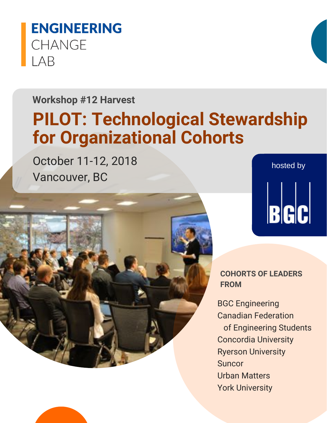# **ENGINEERING CHANGE IAB**

## **Workshop #12 Harvest**

# **PILOT: Technological Stewardship for Organizational Cohorts**

October 11-12, 2018 Vancouver, BC





**COHORTS OF LEADERS FROM**

BGC Engineering Canadian Federation of Engineering Students Concordia University Ryerson University **Suncor** Urban Matters York University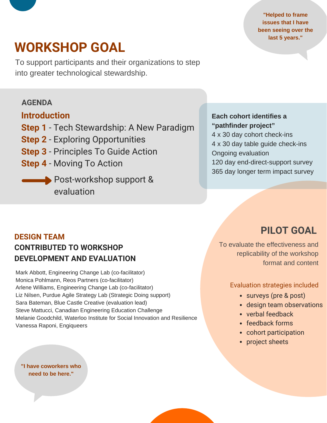**"Helped to frame issues that I have been seeing over the last 5 years."**

# **WORKSHOP GOAL**

To support participants and their organizations to step into greater technological stewardship.

### **AGENDA**

### **Introduction**

- **Step 1** Tech Stewardship: A New Paradigm
- **Step 2** Exploring Opportunities
- **Step 3** Principles To Guide Action
- **Step 4** Moving To Action
	- Post-workshop support & evaluation

### **Each cohort identifies a "pathfinder project"**

 x 30 day cohort check-ins x 30 day table guide check-ins Ongoing evaluation day end-direct-support survey day longer term impact survey

### **DESIGN TEAM CONTRIBUTED TO WORKSHOP DEVELOPMENT AND EVALUATION**

Mark Abbott, Engineering Change Lab (co-facilitator) Monica Pohlmann, Reos Partners (co-facilitator) Arlene Williams, Engineering Change Lab (co-facilitator) Liz Nilsen, Purdue Agile Strategy Lab (Strategic Doing support) Sara Bateman, Blue Castle Creative (evaluation lead) Steve Mattucci, Canadian Engineering Education Challenge Melanie Goodchild, Waterloo Institute for Social Innovation and Resilience Vanessa Raponi, Engiqueers

**"I have coworkers who need to be here."**

## **PILOT GOAL**

To evaluate the effectiveness and replicability of the workshop format and content

### Evaluation strategies included

- surveys (pre & post)
- design team observations
- verbal feedback
- feedback forms
- cohort participation
- project sheets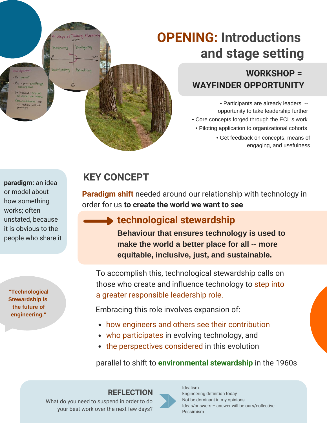# **OPENING: Introductions and stage setting**

## **WORKSHOP = WAYFINDER OPPORTUNITY**

• Core concepts forged through the ECL's work • Get feedback on concepts, means of engaging, and usefulness • Piloting application to organizational cohorts • Participants are already leaders - opportunity to take leadership further

**paradigm:** an idea or model about how something works; often unstated, because it is obvious to the people who share it

nclusive en ices are then confidences no hantily no

**"Technological Stewardship is the future of engineering."**

## **KEY CONCEPT**

Talking & Lis

Dialoguing

Debating

**Paradigm shift** needed around our relationship with technology in order for us **to create the world we want to see**

## **technological stewardship**

**Behaviour that ensures technology is used to make the world a better place for all -- more equitable, inclusive, just, and sustainable.**

To accomplish this, technological stewardship calls on those who create and influence technology to step into a greater responsible leadership role.

Embracing this role involves expansion of:

- how engineers and others see their contribution
- who participates in evolving technology, and
- the perspectives considered in this evolution

parallel to shift to **environmental stewardship** in the 1960s

What do you need to suspend in order to do your best work over the next few days?



Idealism Engineering definition today Not be dominant in my opinions Ideas/answers – answer will be ours/collective Pessimism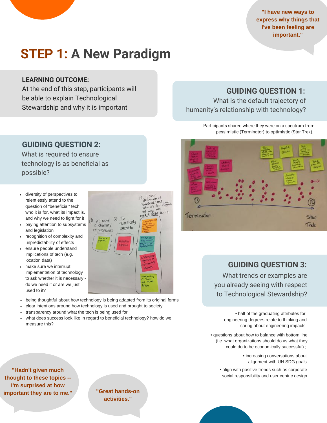**"I have new ways to express why things that I've been feeling are important."**

# **STEP 1: A New Paradigm**

### **LEARNING OUTCOME:**

At the end of this step, participants will be able to explain Technological Stewardship and why it is important

### **GUIDING QUESTION 1:**

What is the default trajectory of humanity's relationship with technology?

> Participants shared where they were on a spectrum from pessimistic (Terminator) to optimistic (Star Trek).



### **GUIDING QUESTION 3:**

What trends or examples are you already seeing with respect to Technological Stewardship?

> • half of the graduating attributes for engineering degrees relate to thinking and caring about engineering impacts

• questions about how to balance with bottom line (i.e. what organizations should do vs what they could do to be economically successful) ;

> • increasing conversations about alignment with UN SDG goals

• align with positive trends such as corporate social responsibility and user centric design

### **GUIDING QUESTION 2:**

What is required to ensure technology is as beneficial as possible?

- diversity of perspectives to relentlessly attend to the question of "beneficial" tech: who it is for, what its impact is, and why we need to fight for it
- paying attention to subsystems  $\bullet$ and legislation
- recognition of complexity and unpredictability of effects
- ensure people understand  $\bullet$ implications of tech (e.g. location data)
- make sure we interrupt implementation of technology to ask whether it is necessary do we need it or are we just used to it?
- being thoughtful about how technology is being adapted from its original forms

1 We need

a diversity

of perspectives

- clear intentions around how technology is used and brought to society
- transparency around what the tech is being used for
- what does success look like in regard to beneficial technology? how do we measure this?

**"Hadn't given much thought to these topics -- I'm surprised at how important they are to me."**

<sup>1</sup> definition of<br>befinition of<br>the for the theory eneficial featured who it's we<br>and why we<br>need to fight for it

To  $\circled{2}$ 

relentlessly

attend to

**"Great hands-on activities."**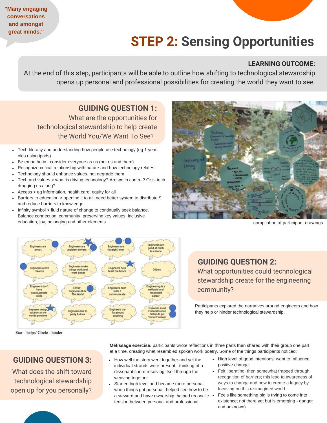# **STEP 2: Sensing Opportunities**

### **LEARNING OUTCOME:**

At the end of this step, participants will be able to outline how shifting to technological stewardship opens up personal and professional possibilities for creating the world they want to see.

**GUIDING QUESTION 1:** What are the opportunities for technological stewardship to help create the World You/We Want To See?

- Tech literacy and understanding how people use technology (eg 1 year olds using ipads)
- Be empathetic consider everyone as us (not us and them)
- Recognize critical relationship with nature and how technology relates
- Technology should enhance values, not degrade them
- Tech and values > what is driving technology? Are we in control? Or is tech dragging us along?
- Access > eg information, health care: equity for all

**"Many engaging conversations and amongst great minds."**

- Barriers to education > opening it to all; need better system to distribute \$ and reduce barriers to knowledge
- Infinity symbol > fluid nature of change to continually seek balance. Balance connection, community, preserving key values, inclusive education, joy, belonging and other elements



compilation of participant drawings



Star - helps/ Circle - hinder

**GUIDING QUESTION 3:**

What does the shift toward technological stewardship open up for you personally?

### **GUIDING QUESTION 2:** What opportunities could technological stewardship create for the engineering community?

Participants explored the narratives around engineers and how they help or hinder technological stewardship.

**Métissage exercise:** participants wrote reflections in three parts then shared with their group one part at a time, creating what resembled spoken work poetry. Some of the things participants noticed:

- How well the story went together and yet the individual strands were present - thinking of a dissonant chord resolving itself through the weaving together
- Started high level and became more personal; when things got personal, helped see how to be a steward and have ownership; helped reconcile . tension between personal and professional
- High level of good intentions: want to Influence positive change
	- Felt liberating, then somewhat trapped through recognition of barriers; this lead to awareness of ways to change and how to create a legacy by focusing on this re-imagined world
	- Feels like something big is trying to come into existence; not there yet but is emerging - danger and unknown)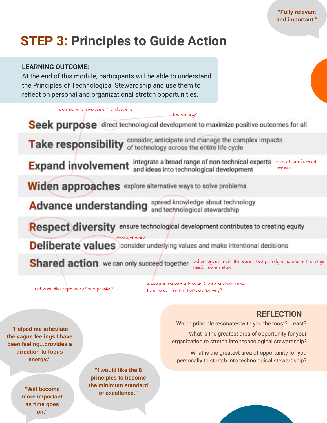# **STEP 3: Principles to Guide Action**

### **LEARNING OUTCOME:**

At the end of this module, participants will be able to understand the Principles of Technological Stewardship and use them to reflect on personal and organizational stretch opportunities.

connects to involvement & diversity

Seek purpose direct technological development to maximize positive outcomes for all

too strong?

Take responsibility consider, anticipate and manage the complex impacts

integrate a broad range of non-technical experts risk of uninformed **Expand involvement** opinions and ideas into technological development

Widen approaches explore alternative ways to solve problems

Advance understanding spread knowledge about technology

Respect diversity ensure technological development contributes to creating equity

Deliberate values charged word

Shared action we can only succeed together old paragidm: trust the leader; ned paradigm: no one is in charge needs more details

not quite the right word? too passive?

suggests answer is known & others don't know. how to do this in a non-colonial way?

### **REFLECTION**

Which principle resonates with you the most? Least?

What is the greatest area of opportunity for your organization to stretch into technological stewardship?

What is the greatest area of opportunity for you personally to stretch into technological stewardship?

**"Helped me articulate the vague feelings I have been feeling...provides a direction to focus energy."**

> **"Will become more important as time goes on."**

**"I would like the 8 principles to become the minimum standard of excellence."**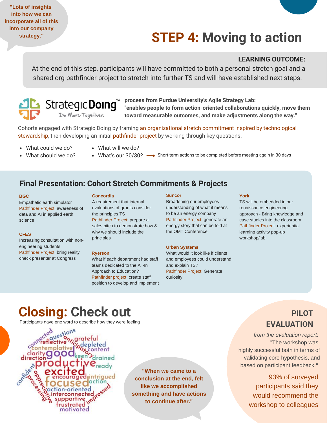**"Lots of insights into how we can incorporate all of this into our company strategy."**

# **STEP 4: Moving to action**

#### **LEARNING OUTCOME:**

At the end of this step, participants will have committed to both a personal stretch goal and a shared org pathfinder project to stretch into further TS and will have established next steps.



**process from Purdue University's Agile Strategy Lab: "enables people to form action-oriented collaborations quickly, move them toward measurable outcomes, and make adjustments along the way."**

Cohorts engaged with Strategic Doing by framing an organizational stretch commitment inspired by technological stewardship, then developing an initial pathfinder project by working through key questions:

- What could we do? What should we do?
- What will we do?
	- What's our 30/30?  $\longrightarrow$  Short-term actions to be completed before meeting again in 30 days

### **Final Presentation: Cohort Stretch Commitments & Projects**

#### **BGC**

Empathetic earth simulator Pathfinder Project: awareness of data and AI in applied earth science

#### **CFES**

Increasing consultation with nonengineering students Pathfinder Project: bring reality check presenter at Congress

#### **Concordia**

A requirement that internal evaluations of grants consider the principles TS Pathfinder Project: prepare a sales pitch to demonstrate how & why we should include the principles

#### **Ryerson**

What if each department had staff teams dedicated to the All-In Approach to Education? Pathfinder project: create staff position to develop and implement

#### **Suncor**

Broadening our employees understanding of what it means to be an energy company Pathfinder Project: generate an energy story that can be told at the OMT Conference

#### **Urban Systems**

What would it look like if clients and employees could understand and explain TS? Pathfinder Project: Generate curiosity

#### **York**

TS will be embedded in our renaissance engineering approach - Bring knowledge and case studies into the classroom Pathfinder Project: experiential learning activity pop-up workshop/lab

## **Closing: Check out**

Participants gave one word to describe how they were feeling

uestions grateful. sdepleted<br>So<sub>sc</sub>ontent seen Idrained rustrated motivated

**"When we came to a conclusion at the end, felt like we accomplished something and have actions to continue after."**

### **PILOT EVALUATION**

*from the evaluation report:* "The workshop was highly successful both in terms of validating core hypothesis, and based on participant feedback.**"**

> 93% of surveyed participants said they would recommend the workshop to colleagues